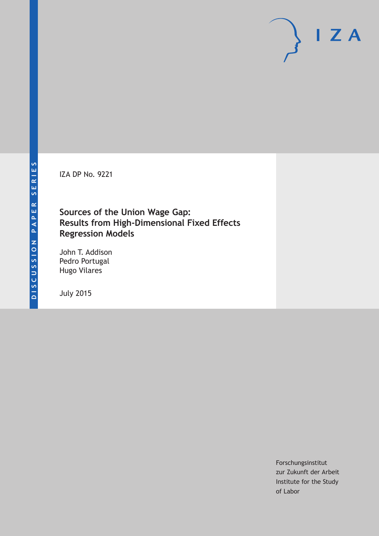IZA DP No. 9221

# **Sources of the Union Wage Gap: Results from High-Dimensional Fixed Effects Regression Models**

John T. Addison Pedro Portugal Hugo Vilares

July 2015

Forschungsinstitut zur Zukunft der Arbeit Institute for the Study of Labor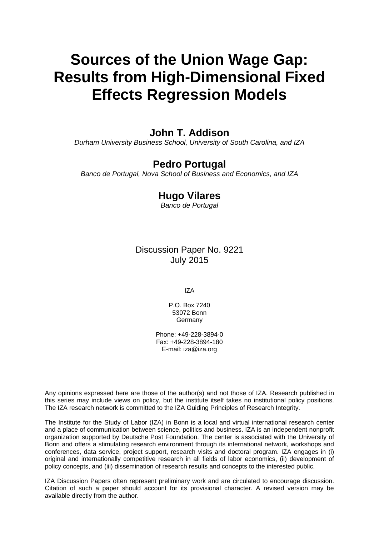# **Sources of the Union Wage Gap: Results from High-Dimensional Fixed Effects Regression Models**

# **John T. Addison**

*Durham University Business School, University of South Carolina, and IZA* 

# **Pedro Portugal**

*Banco de Portugal, Nova School of Business and Economics, and IZA* 

# **Hugo Vilares**

*Banco de Portugal*

# Discussion Paper No. 9221 July 2015

IZA

P.O. Box 7240 53072 Bonn **Germany** 

Phone: +49-228-3894-0 Fax: +49-228-3894-180 E-mail: iza@iza.org

Any opinions expressed here are those of the author(s) and not those of IZA. Research published in this series may include views on policy, but the institute itself takes no institutional policy positions. The IZA research network is committed to the IZA Guiding Principles of Research Integrity.

The Institute for the Study of Labor (IZA) in Bonn is a local and virtual international research center and a place of communication between science, politics and business. IZA is an independent nonprofit organization supported by Deutsche Post Foundation. The center is associated with the University of Bonn and offers a stimulating research environment through its international network, workshops and conferences, data service, project support, research visits and doctoral program. IZA engages in (i) original and internationally competitive research in all fields of labor economics, (ii) development of policy concepts, and (iii) dissemination of research results and concepts to the interested public.

IZA Discussion Papers often represent preliminary work and are circulated to encourage discussion. Citation of such a paper should account for its provisional character. A revised version may be available directly from the author.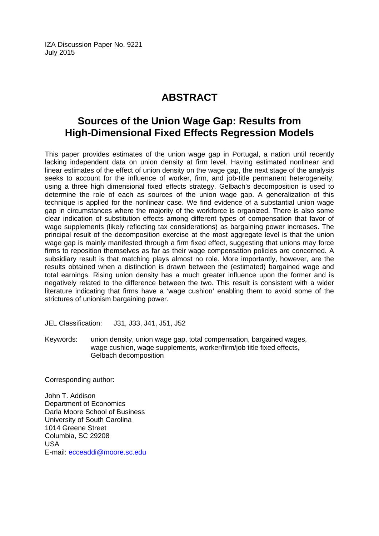IZA Discussion Paper No. 9221 July 2015

# **ABSTRACT**

# **Sources of the Union Wage Gap: Results from High-Dimensional Fixed Effects Regression Models**

This paper provides estimates of the union wage gap in Portugal, a nation until recently lacking independent data on union density at firm level. Having estimated nonlinear and linear estimates of the effect of union density on the wage gap, the next stage of the analysis seeks to account for the influence of worker, firm, and job-title permanent heterogeneity, using a three high dimensional fixed effects strategy. Gelbach's decomposition is used to determine the role of each as sources of the union wage gap. A generalization of this technique is applied for the nonlinear case. We find evidence of a substantial union wage gap in circumstances where the majority of the workforce is organized. There is also some clear indication of substitution effects among different types of compensation that favor of wage supplements (likely reflecting tax considerations) as bargaining power increases. The principal result of the decomposition exercise at the most aggregate level is that the union wage gap is mainly manifested through a firm fixed effect, suggesting that unions may force firms to reposition themselves as far as their wage compensation policies are concerned. A subsidiary result is that matching plays almost no role. More importantly, however, are the results obtained when a distinction is drawn between the (estimated) bargained wage and total earnings. Rising union density has a much greater influence upon the former and is negatively related to the difference between the two. This result is consistent with a wider literature indicating that firms have a 'wage cushion' enabling them to avoid some of the strictures of unionism bargaining power.

JEL Classification: J31, J33, J41, J51, J52

Keywords: union density, union wage gap, total compensation, bargained wages, wage cushion, wage supplements, worker/firm/job title fixed effects, Gelbach decomposition

Corresponding author:

John T. Addison Department of Economics Darla Moore School of Business University of South Carolina 1014 Greene Street Columbia, SC 29208 USA E-mail: ecceaddi@moore.sc.edu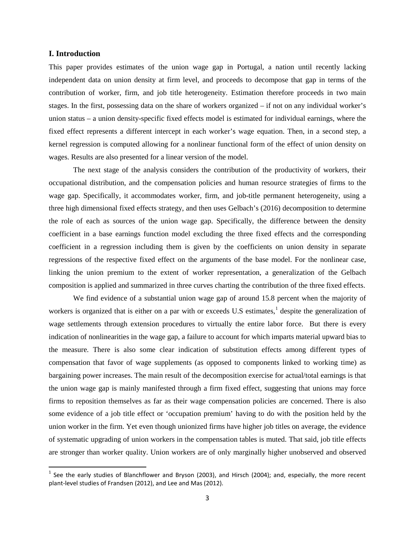#### **I. Introduction**

This paper provides estimates of the union wage gap in Portugal, a nation until recently lacking independent data on union density at firm level, and proceeds to decompose that gap in terms of the contribution of worker, firm, and job title heterogeneity. Estimation therefore proceeds in two main stages. In the first, possessing data on the share of workers organized – if not on any individual worker's union status – a union density-specific fixed effects model is estimated for individual earnings, where the fixed effect represents a different intercept in each worker's wage equation. Then, in a second step, a kernel regression is computed allowing for a nonlinear functional form of the effect of union density on wages. Results are also presented for a linear version of the model.

The next stage of the analysis considers the contribution of the productivity of workers, their occupational distribution, and the compensation policies and human resource strategies of firms to the wage gap. Specifically, it accommodates worker, firm, and job-title permanent heterogeneity, using a three high dimensional fixed effects strategy, and then uses Gelbach's (2016) decomposition to determine the role of each as sources of the union wage gap. Specifically, the difference between the density coefficient in a base earnings function model excluding the three fixed effects and the corresponding coefficient in a regression including them is given by the coefficients on union density in separate regressions of the respective fixed effect on the arguments of the base model. For the nonlinear case, linking the union premium to the extent of worker representation, a generalization of the Gelbach composition is applied and summarized in three curves charting the contribution of the three fixed effects.

We find evidence of a substantial union wage gap of around 15.8 percent when the majority of workers is organized that is either on a par with or exceeds U.S estimates,<sup>[1](#page-40-0)</sup> despite the generalization of wage settlements through extension procedures to virtually the entire labor force. But there is every indication of nonlinearities in the wage gap, a failure to account for which imparts material upward bias to the measure. There is also some clear indication of substitution effects among different types of compensation that favor of wage supplements (as opposed to components linked to working time) as bargaining power increases. The main result of the decomposition exercise for actual/total earnings is that the union wage gap is mainly manifested through a firm fixed effect, suggesting that unions may force firms to reposition themselves as far as their wage compensation policies are concerned. There is also some evidence of a job title effect or 'occupation premium' having to do with the position held by the union worker in the firm. Yet even though unionized firms have higher job titles on average, the evidence of systematic upgrading of union workers in the compensation tables is muted. That said, job title effects are stronger than worker quality. Union workers are of only marginally higher unobserved and observed

<span id="page-3-0"></span> $1$  See the early studies of Blanchflower and Bryson (2003), and Hirsch (2004); and, especially, the more recent plant-level studies of Frandsen (2012), and Lee and Mas (2012).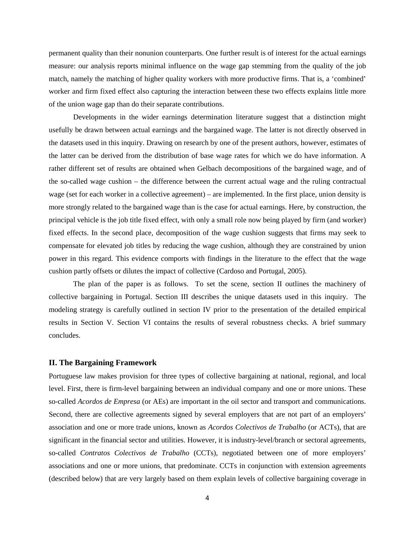permanent quality than their nonunion counterparts. One further result is of interest for the actual earnings measure: our analysis reports minimal influence on the wage gap stemming from the quality of the job match, namely the matching of higher quality workers with more productive firms. That is, a 'combined' worker and firm fixed effect also capturing the interaction between these two effects explains little more of the union wage gap than do their separate contributions.

Developments in the wider earnings determination literature suggest that a distinction might usefully be drawn between actual earnings and the bargained wage. The latter is not directly observed in the datasets used in this inquiry. Drawing on research by one of the present authors, however, estimates of the latter can be derived from the distribution of base wage rates for which we do have information. A rather different set of results are obtained when Gelbach decompositions of the bargained wage, and of the so-called wage cushion – the difference between the current actual wage and the ruling contractual wage (set for each worker in a collective agreement) – are implemented. In the first place, union density is more strongly related to the bargained wage than is the case for actual earnings. Here, by construction, the principal vehicle is the job title fixed effect, with only a small role now being played by firm (and worker) fixed effects. In the second place, decomposition of the wage cushion suggests that firms may seek to compensate for elevated job titles by reducing the wage cushion, although they are constrained by union power in this regard. This evidence comports with findings in the literature to the effect that the wage cushion partly offsets or dilutes the impact of collective (Cardoso and Portugal, 2005).

The plan of the paper is as follows. To set the scene, section II outlines the machinery of collective bargaining in Portugal. Section III describes the unique datasets used in this inquiry. The modeling strategy is carefully outlined in section IV prior to the presentation of the detailed empirical results in Section V. Section VI contains the results of several robustness checks. A brief summary concludes.

#### **II. The Bargaining Framework**

Portuguese law makes provision for three types of collective bargaining at national, regional, and local level. First, there is firm-level bargaining between an individual company and one or more unions. These so-called *Acordos de Empresa* (or AEs) are important in the oil sector and transport and communications. Second, there are collective agreements signed by several employers that are not part of an employers' association and one or more trade unions, known as *Acordos Colectivos de Trabalho* (or ACTs), that are significant in the financial sector and utilities. However, it is industry-level/branch or sectoral agreements, so-called *Contratos Colectivos de Trabalho* (CCTs), negotiated between one of more employers' associations and one or more unions, that predominate. CCTs in conjunction with extension agreements (described below) that are very largely based on them explain levels of collective bargaining coverage in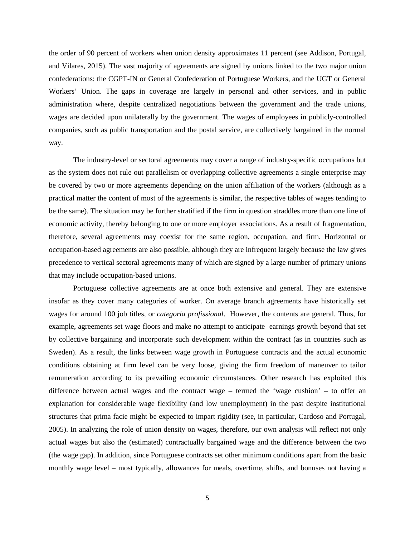the order of 90 percent of workers when union density approximates 11 percent (see Addison, Portugal, and Vilares, 2015). The vast majority of agreements are signed by unions linked to the two major union confederations: the CGPT-IN or General Confederation of Portuguese Workers, and the UGT or General Workers' Union. The gaps in coverage are largely in personal and other services, and in public administration where, despite centralized negotiations between the government and the trade unions, wages are decided upon unilaterally by the government. The wages of employees in publicly-controlled companies, such as public transportation and the postal service, are collectively bargained in the normal way.

The industry-level or sectoral agreements may cover a range of industry-specific occupations but as the system does not rule out parallelism or overlapping collective agreements a single enterprise may be covered by two or more agreements depending on the union affiliation of the workers (although as a practical matter the content of most of the agreements is similar, the respective tables of wages tending to be the same). The situation may be further stratified if the firm in question straddles more than one line of economic activity, thereby belonging to one or more employer associations. As a result of fragmentation, therefore, several agreements may coexist for the same region, occupation, and firm. Horizontal or occupation-based agreements are also possible, although they are infrequent largely because the law gives precedence to vertical sectoral agreements many of which are signed by a large number of primary unions that may include occupation-based unions.

Portuguese collective agreements are at once both extensive and general. They are extensive insofar as they cover many categories of worker. On average branch agreements have historically set wages for around 100 job titles, or *categoria profissional*. However, the contents are general. Thus, for example, agreements set wage floors and make no attempt to anticipate earnings growth beyond that set by collective bargaining and incorporate such development within the contract (as in countries such as Sweden). As a result, the links between wage growth in Portuguese contracts and the actual economic conditions obtaining at firm level can be very loose, giving the firm freedom of maneuver to tailor remuneration according to its prevailing economic circumstances. Other research has exploited this difference between actual wages and the contract wage – termed the 'wage cushion' – to offer an explanation for considerable wage flexibility (and low unemployment) in the past despite institutional structures that prima facie might be expected to impart rigidity (see, in particular, Cardoso and Portugal, 2005). In analyzing the role of union density on wages, therefore, our own analysis will reflect not only actual wages but also the (estimated) contractually bargained wage and the difference between the two (the wage gap). In addition, since Portuguese contracts set other minimum conditions apart from the basic monthly wage level – most typically, allowances for meals, overtime, shifts, and bonuses not having a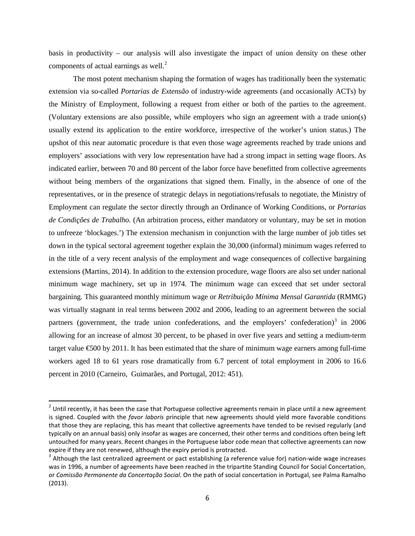basis in productivity – our analysis will also investigate the impact of union density on these other components of actual earnings as well.<sup>[2](#page-3-0)</sup>

The most potent mechanism shaping the formation of wages has traditionally been the systematic extension via so-called *Portarias de Extensão* of industry-wide agreements (and occasionally ACTs) by the Ministry of Employment, following a request from either or both of the parties to the agreement. (Voluntary extensions are also possible, while employers who sign an agreement with a trade union(s) usually extend its application to the entire workforce, irrespective of the worker's union status.) The upshot of this near automatic procedure is that even those wage agreements reached by trade unions and employers' associations with very low representation have had a strong impact in setting wage floors. As indicated earlier, between 70 and 80 percent of the labor force have benefitted from collective agreements without being members of the organizations that signed them. Finally, in the absence of one of the representatives, or in the presence of strategic delays in negotiations/refusals to negotiate, the Ministry of Employment can regulate the sector directly through an Ordinance of Working Conditions, or *Portarias de Condições de Trabalho.* (An arbitration process, either mandatory or voluntary, may be set in motion to unfreeze 'blockages.') The extension mechanism in conjunction with the large number of job titles set down in the typical sectoral agreement together explain the 30,000 (informal) minimum wages referred to in the title of a very recent analysis of the employment and wage consequences of collective bargaining extensions (Martins, 2014). In addition to the extension procedure, wage floors are also set under national minimum wage machinery, set up in 1974. The minimum wage can exceed that set under sectoral bargaining. This guaranteed monthly minimum wage or *Retribuição Mínima Mensal Garantida* (RMMG) was virtually stagnant in real terms between 2002 and 2006, leading to an agreement between the social partners (government, the trade union confederations, and the employers' confederation)<sup>[3](#page-6-0)</sup> in 2006 allowing for an increase of almost 30 percent, to be phased in over five years and setting a medium-term target value  $\epsilon$ 500 by 2011. It has been estimated that the share of minimum wage earners among full-time workers aged 18 to 61 years rose dramatically from 6.7 percent of total employment in 2006 to 16.6 percent in 2010 (Carneiro, Guimarães, and Portugal, 2012: 451).

<span id="page-6-1"></span> $2$  Until recently, it has been the case that Portuguese collective agreements remain in place until a new agreement is signed. Coupled with the *favor laboris* principle that new agreements should yield more favorable conditions that those they are replacing, this has meant that collective agreements have tended to be revised regularly (and typically on an annual basis) only insofar as wages are concerned, their other terms and conditions often being left untouched for many years. Recent changes in the Portuguese labor code mean that collective agreements can now expire if they are not renewed, although the expiry period is protracted.

<span id="page-6-0"></span> $3$  Although the last centralized agreement or pact establishing (a reference value for) nation-wide wage increases was in 1996, a number of agreements have been reached in the tripartite Standing Council for Social Concertation, or *Comissão Permanente da Concertação Social*. On the path of social concertation in Portugal, see Palma Ramalho (2013).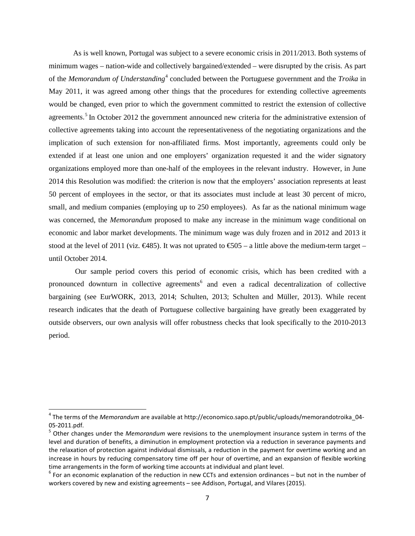As is well known, Portugal was subject to a severe economic crisis in 2011/2013. Both systems of minimum wages – nation-wide and collectively bargained/extended – were disrupted by the crisis. As part of the *Memorandum of Understanding* [4](#page-6-1) concluded between the Portuguese government and the *Troika* in May 2011, it was agreed among other things that the procedures for extending collective agreements would be changed, even prior to which the government committed to restrict the extension of collective agreements.<sup>[5](#page-7-0)</sup> In October 2012 the government announced new criteria for the administrative extension of collective agreements taking into account the representativeness of the negotiating organizations and the implication of such extension for non-affiliated firms. Most importantly, agreements could only be extended if at least one union and one employers' organization requested it and the wider signatory organizations employed more than one-half of the employees in the relevant industry. However, in June 2014 this Resolution was modified: the criterion is now that the employers' association represents at least 50 percent of employees in the sector, or that its associates must include at least 30 percent of micro, small, and medium companies (employing up to 250 employees). As far as the national minimum wage was concerned, the *Memorandum* proposed to make any increase in the minimum wage conditional on economic and labor market developments. The minimum wage was duly frozen and in 2012 and 2013 it stood at the level of 2011 (viz.  $\epsilon 485$ ). It was not uprated to  $\epsilon 505$  – a little above the medium-term target – until October 2014.

Our sample period covers this period of economic crisis, which has been credited with a pronounced downturn in collective agreements<sup>[6](#page-7-1)</sup> and even a radical decentralization of collective bargaining (see EurWORK, 2013, 2014; Schulten, 2013; Schulten and Müller, 2013). While recent research indicates that the death of Portuguese collective bargaining have greatly been exaggerated by outside observers, our own analysis will offer robustness checks that look specifically to the 2010-2013 period.

 <sup>4</sup> The terms of the *Memorandum* are available at http://economico.sapo.pt/public/uploads/memorandotroika\_04- 05-2011.pdf.<br><sup>5</sup> Other changes under the *Memorandum* were revisions to the unemployment insurance system in terms of the

<span id="page-7-0"></span>level and duration of benefits, a diminution in employment protection via a reduction in severance payments and the relaxation of protection against individual dismissals, a reduction in the payment for overtime working and an increase in hours by reducing compensatory time off per hour of overtime, and an expansion of flexible working time arrangements in the form of working time accounts at individual and plant level.

<span id="page-7-2"></span><span id="page-7-1"></span> $6$  For an economic explanation of the reduction in new CCTs and extension ordinances – but not in the number of workers covered by new and existing agreements – see Addison, Portugal, and Vilares (2015).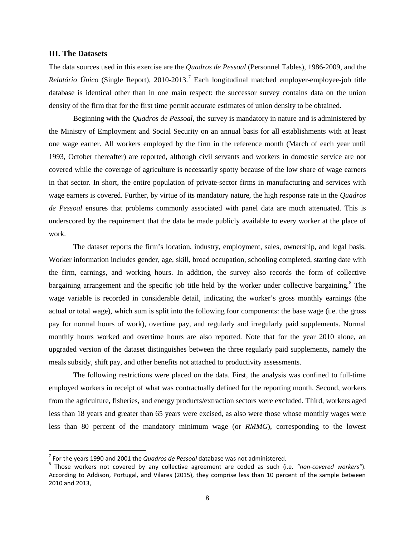# **III. The Datasets**

The data sources used in this exercise are the *Quadros de Pessoal* (Personnel Tables), 1986-2009, and the *Relatório Único* (Single Report), 2010-2013. [7](#page-7-2) Each longitudinal matched employer-employee-job title database is identical other than in one main respect: the successor survey contains data on the union density of the firm that for the first time permit accurate estimates of union density to be obtained.

Beginning with the *Quadros de Pessoal*, the survey is mandatory in nature and is administered by the Ministry of Employment and Social Security on an annual basis for all establishments with at least one wage earner. All workers employed by the firm in the reference month (March of each year until 1993, October thereafter) are reported, although civil servants and workers in domestic service are not covered while the coverage of agriculture is necessarily spotty because of the low share of wage earners in that sector. In short, the entire population of private-sector firms in manufacturing and services with wage earners is covered. Further, by virtue of its mandatory nature, the high response rate in the *Quadros de Pessoal* ensures that problems commonly associated with panel data are much attenuated. This is underscored by the requirement that the data be made publicly available to every worker at the place of work.

The dataset reports the firm's location, industry, employment, sales, ownership, and legal basis. Worker information includes gender, age, skill, broad occupation, schooling completed, starting date with the firm, earnings, and working hours. In addition, the survey also records the form of collective bargaining arrangement and the specific job title held by the worker under collective bargaining.<sup>[8](#page-8-0)</sup> The wage variable is recorded in considerable detail, indicating the worker's gross monthly earnings (the actual or total wage), which sum is split into the following four components: the base wage (i.e. the gross pay for normal hours of work), overtime pay, and regularly and irregularly paid supplements. Normal monthly hours worked and overtime hours are also reported. Note that for the year 2010 alone, an upgraded version of the dataset distinguishes between the three regularly paid supplements, namely the meals subsidy, shift pay, and other benefits not attached to productivity assessments.

The following restrictions were placed on the data. First, the analysis was confined to full-time employed workers in receipt of what was contractually defined for the reporting month. Second, workers from the agriculture, fisheries, and energy products/extraction sectors were excluded. Third, workers aged less than 18 years and greater than 65 years were excised, as also were those whose monthly wages were less than 80 percent of the mandatory minimum wage (or *RMMG*), corresponding to the lowest

<span id="page-8-0"></span>

<span id="page-8-1"></span><sup>&</sup>lt;sup>7</sup> For the years 1990 and 2001 the *Quadros de Pessoal* database was not administered.<br><sup>8</sup> Those workers not covered by any collective agreement are coded as such (i.e. *"non-covered workers"*). According to Addison, Portugal, and Vilares (2015), they comprise less than 10 percent of the sample between 2010 and 2013,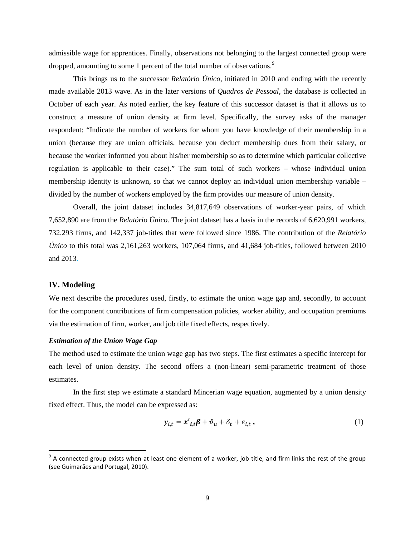admissible wage for apprentices. Finally, observations not belonging to the largest connected group were dropped, amounting to some 1 percent of the total number of observations.<sup>[9](#page-8-1)</sup>

This brings us to the successor *Relatório Único*, initiated in 2010 and ending with the recently made available 2013 wave. As in the later versions of *Quadros de Pessoal,* the database is collected in October of each year. As noted earlier, the key feature of this successor dataset is that it allows us to construct a measure of union density at firm level. Specifically, the survey asks of the manager respondent: "Indicate the number of workers for whom you have knowledge of their membership in a union (because they are union officials, because you deduct membership dues from their salary, or because the worker informed you about his/her membership so as to determine which particular collective regulation is applicable to their case)." The sum total of such workers – whose individual union membership identity is unknown, so that we cannot deploy an individual union membership variable – divided by the number of workers employed by the firm provides our measure of union density.

Overall, the joint dataset includes 34,817,649 observations of worker-year pairs, of which 7,652,890 are from the *Relatório Único.* The joint dataset has a basis in the records of 6,620,991 workers, 732,293 firms, and 142,337 job-titles that were followed since 1986. The contribution of the *Relatório Único* to this total was 2,161,263 workers, 107,064 firms, and 41,684 job-titles, followed between 2010 and 2013.

#### **IV. Modeling**

We next describe the procedures used, firstly, to estimate the union wage gap and, secondly, to account for the component contributions of firm compensation policies, worker ability, and occupation premiums via the estimation of firm, worker, and job title fixed effects, respectively.

#### *Estimation of the Union Wage Gap*

The method used to estimate the union wage gap has two steps. The first estimates a specific intercept for each level of union density. The second offers a (non-linear) semi-parametric treatment of those estimates.

<span id="page-9-0"></span>In the first step we estimate a standard Mincerian wage equation, augmented by a union density fixed effect. Thus, the model can be expressed as:

$$
y_{i,t} = x'_{i,t} \beta + \vartheta_u + \delta_t + \varepsilon_{i,t}, \qquad (1)
$$

 $9<sup>9</sup>$  A connected group exists when at least one element of a worker, job title, and firm links the rest of the group (see Guimarães and Portugal, 2010).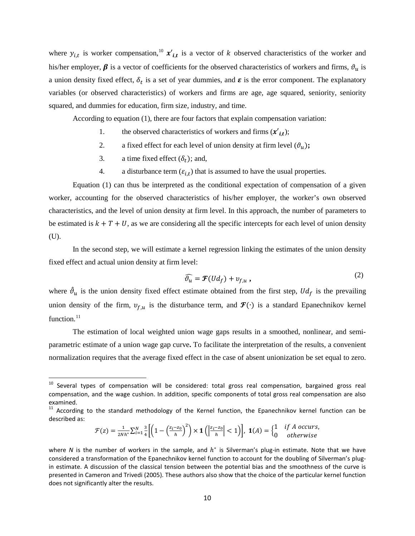where  $y_{i,t}$  is worker compensation,<sup>[10](#page-9-0)</sup>  $x'_{i,t}$  is a vector of k observed characteristics of the worker and his/her employer,  $\beta$  is a vector of coefficients for the observed characteristics of workers and firms,  $\vartheta_u$  is a union density fixed effect,  $\delta_t$  is a set of year dummies, and  $\varepsilon$  is the error component. The explanatory variables (or observed characteristics) of workers and firms are age, age squared, seniority, seniority squared, and dummies for education, firm size, industry, and time.

According to equation (1), there are four factors that explain compensation variation:

- 1. the observed characteristics of workers and firms  $(x'_{i,t})$ ;
- 2. a fixed effect for each level of union density at firm level  $(\vartheta_u)$ ;
- 3. a time fixed effect  $(\delta_t)$ ; and,
- 4. a disturbance term  $(\varepsilon_{i,t})$  that is assumed to have the usual properties.

Equation (1) can thus be interpreted as the conditional expectation of compensation of a given worker, accounting for the observed characteristics of his/her employer, the worker's own observed characteristics, and the level of union density at firm level. In this approach, the number of parameters to be estimated is  $k + T + U$ , as we are considering all the specific intercepts for each level of union density (U).

In the second step, we will estimate a kernel regression linking the estimates of the union density fixed effect and actual union density at firm level:

$$
\widehat{\vartheta_u} = \mathcal{F}(Ud_f) + v_{f,u} \,, \tag{2}
$$

where  $\hat{\theta}_u$  is the union density fixed effect estimate obtained from the first step,  $U d_f$  is the prevailing union density of the firm,  $v_{f,u}$  is the disturbance term, and  $\mathcal{F}(\cdot)$  is a standard Epanechnikov kernel function.<sup>[11](#page-10-0)</sup>

The estimation of local weighted union wage gaps results in a smoothed, nonlinear, and semiparametric estimate of a union wage gap curve**.** To facilitate the interpretation of the results, a convenient normalization requires that the average fixed effect in the case of absent unionization be set equal to zero.

$$
\mathcal{F}(z) = \frac{1}{2Nh^*} \sum_{i=1}^N \frac{3}{4} \left[ \left( 1 - \left( \frac{z_i - z_0}{h} \right)^2 \right) \times \mathbf{1} \left( \left| \frac{z_i - z_0}{h} \right| < 1 \right) \right], \ \mathbf{1}(A) = \begin{cases} 1 & \text{if } A \text{ occurs,} \\ 0 & \text{otherwise} \end{cases}
$$

 $10$  Several types of compensation will be considered: total gross real compensation, bargained gross real compensation, and the wage cushion. In addition, specific components of total gross real compensation are also examined.<br><sup>11</sup> According to the standard methodology of the Kernel function, the Epanechnikov kernel function can be

<span id="page-10-0"></span>described as:

<span id="page-10-1"></span>where *N* is the number of workers in the sample, and  $h^*$  is Silverman's plug-in estimate. Note that we have considered a transformation of the Epanechnikov kernel function to account for the doubling of Silverman's plugin estimate. A discussion of the classical tension between the potential bias and the smoothness of the curve is presented in Cameron and Trivedi (2005). These authors also show that the choice of the particular kernel function does not significantly alter the results.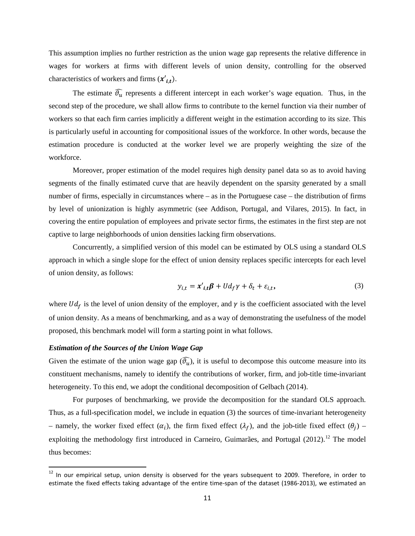This assumption implies no further restriction as the union wage gap represents the relative difference in wages for workers at firms with different levels of union density, controlling for the observed characteristics of workers and firms  $(x'_i)$ .

The estimate  $\hat{\theta}_u$  represents a different intercept in each worker's wage equation. Thus, in the second step of the procedure, we shall allow firms to contribute to the kernel function via their number of workers so that each firm carries implicitly a different weight in the estimation according to its size. This is particularly useful in accounting for compositional issues of the workforce. In other words, because the estimation procedure is conducted at the worker level we are properly weighting the size of the workforce.

Moreover, proper estimation of the model requires high density panel data so as to avoid having segments of the finally estimated curve that are heavily dependent on the sparsity generated by a small number of firms, especially in circumstances where – as in the Portuguese case – the distribution of firms by level of unionization is highly asymmetric (see Addison, Portugal, and Vilares, 2015). In fact, in covering the entire population of employees and private sector firms, the estimates in the first step are not captive to large neighborhoods of union densities lacking firm observations.

Concurrently, a simplified version of this model can be estimated by OLS using a standard OLS approach in which a single slope for the effect of union density replaces specific intercepts for each level of union density, as follows:

$$
y_{i,t} = x'_{i,t} \beta + U d_f \gamma + \delta_t + \varepsilon_{i,t},
$$
\n(3)

where  $Ud_f$  is the level of union density of the employer, and  $\gamma$  is the coefficient associated with the level of union density. As a means of benchmarking, and as a way of demonstrating the usefulness of the model proposed, this benchmark model will form a starting point in what follows.

### *Estimation of the Sources of the Union Wage Gap*

Given the estimate of the union wage gap  $(\theta_u)$ , it is useful to decompose this outcome measure into its constituent mechanisms, namely to identify the contributions of worker, firm, and job-title time-invariant heterogeneity. To this end, we adopt the conditional decomposition of Gelbach (2014).

For purposes of benchmarking, we provide the decomposition for the standard OLS approach. Thus, as a full-specification model, we include in equation (3) the sources of time-invariant heterogeneity – namely, the worker fixed effect  $(\alpha_i)$ , the firm fixed effect  $(\lambda_f)$ , and the job-title fixed effect  $(\theta_i)$  – exploiting the methodology first introduced in Carneiro, Guimarães, and Portugal (20[12](#page-10-1)).<sup>12</sup> The model thus becomes:

<span id="page-11-0"></span> $12$  In our empirical setup, union density is observed for the years subsequent to 2009. Therefore, in order to estimate the fixed effects taking advantage of the entire time-span of the dataset (1986-2013), we estimated an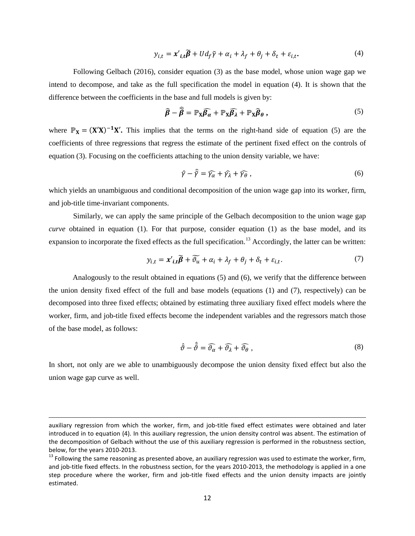$$
y_{i,t} = x'_{i,t}\widetilde{\beta} + Ud_f\widetilde{\gamma} + \alpha_i + \lambda_f + \theta_j + \delta_t + \varepsilon_{i,t}.
$$
\n<sup>(4)</sup>

Following Gelbach (2016), consider equation (3) as the base model, whose union wage gap we intend to decompose, and take as the full specification the model in equation (4). It is shown that the difference between the coefficients in the base and full models is given by:

$$
\widehat{\boldsymbol{\beta}} - \widetilde{\boldsymbol{\beta}} = \mathbb{P}_{\mathbf{X}} \widehat{\boldsymbol{\beta}_{\alpha}} + \mathbb{P}_{\mathbf{X}} \widehat{\boldsymbol{\beta}_{\lambda}} + \mathbb{P}_{\mathbf{X}} \widehat{\boldsymbol{\beta}}_{\theta}, \qquad (5)
$$

where  $\mathbb{P}_{\mathbf{X}} = (\mathbf{X}'\mathbf{X})^{-1}\mathbf{X}'$ . This implies that the terms on the right-hand side of equation (5) are the coefficients of three regressions that regress the estimate of the pertinent fixed effect on the controls of equation (3). Focusing on the coefficients attaching to the union density variable, we have:

$$
\hat{\gamma} - \hat{\tilde{\gamma}} = \hat{\gamma}_{\alpha} + \hat{\gamma}_{\lambda} + \hat{\gamma}_{\theta} , \qquad (6)
$$

which yields an unambiguous and conditional decomposition of the union wage gap into its worker, firm, and job-title time-invariant components.

Similarly, we can apply the same principle of the Gelbach decomposition to the union wage gap *curve* obtained in equation (1). For that purpose, consider equation (1) as the base model, and its expansion to incorporate the fixed effects as the full specification.<sup>[13](#page-11-0)</sup> Accordingly, the latter can be written:

$$
y_{i,t} = x'_{i,t}\widetilde{\beta} + \widetilde{\vartheta_u} + \alpha_i + \lambda_f + \theta_j + \delta_t + \varepsilon_{i,t}.
$$
 (7)

Analogously to the result obtained in equations (5) and (6), we verify that the difference between the union density fixed effect of the full and base models (equations (1) and (7), respectively) can be decomposed into three fixed effects; obtained by estimating three auxiliary fixed effect models where the worker, firm, and job-title fixed effects become the independent variables and the regressors match those of the base model, as follows:

$$
\hat{\vartheta} - \hat{\tilde{\vartheta}} = \widehat{\vartheta_{\alpha}} + \widehat{\vartheta_{\lambda}} + \widehat{\vartheta_{\theta}} , \qquad (8)
$$

In short, not only are we able to unambiguously decompose the union density fixed effect but also the union wage gap curve as well.

l

auxiliary regression from which the worker, firm, and job-title fixed effect estimates were obtained and later introduced in to equation (4). In this auxiliary regression, the union density control was absent. The estimation of the decomposition of Gelbach without the use of this auxiliary regression is performed in the robustness section, below, for the years 2010-2013.<br><sup>13</sup> Following the same reasoning as presented above, an auxiliary regression was used to estimate the worker, firm,

<span id="page-12-0"></span>and job-title fixed effects. In the robustness section, for the years 2010-2013, the methodology is applied in a one step procedure where the worker, firm and job-title fixed effects and the union density impacts are jointly estimated.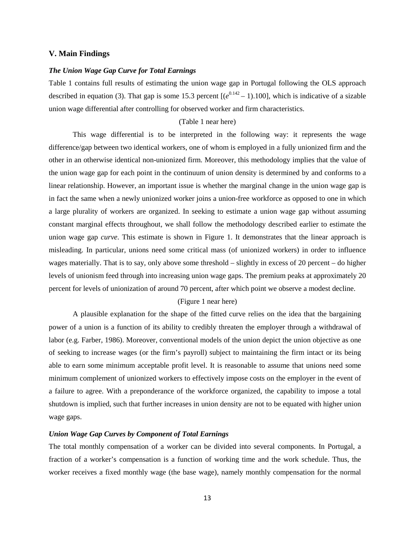## **V. Main Findings**

### *The Union Wage Gap Curve for Total Earnings*

Table 1 contains full results of estimating the union wage gap in Portugal following the OLS approach described in equation (3). That gap is some 15.3 percent  $[(e^{0.142} - 1)$ .100], which is indicative of a sizable union wage differential after controlling for observed worker and firm characteristics.

#### (Table 1 near here)

This wage differential is to be interpreted in the following way: it represents the wage difference/gap between two identical workers, one of whom is employed in a fully unionized firm and the other in an otherwise identical non-unionized firm. Moreover, this methodology implies that the value of the union wage gap for each point in the continuum of union density is determined by and conforms to a linear relationship. However, an important issue is whether the marginal change in the union wage gap is in fact the same when a newly unionized worker joins a union-free workforce as opposed to one in which a large plurality of workers are organized. In seeking to estimate a union wage gap without assuming constant marginal effects throughout, we shall follow the methodology described earlier to estimate the union wage gap *curve*. This estimate is shown in Figure 1. It demonstrates that the linear approach is misleading. In particular, unions need some critical mass (of unionized workers) in order to influence wages materially. That is to say, only above some threshold – slightly in excess of 20 percent – do higher levels of unionism feed through into increasing union wage gaps. The premium peaks at approximately 20 percent for levels of unionization of around 70 percent, after which point we observe a modest decline.

### (Figure 1 near here)

A plausible explanation for the shape of the fitted curve relies on the idea that the bargaining power of a union is a function of its ability to credibly threaten the employer through a withdrawal of labor (e.g. Farber, 1986). Moreover, conventional models of the union depict the union objective as one of seeking to increase wages (or the firm's payroll) subject to maintaining the firm intact or its being able to earn some minimum acceptable profit level. It is reasonable to assume that unions need some minimum complement of unionized workers to effectively impose costs on the employer in the event of a failure to agree. With a preponderance of the workforce organized, the capability to impose a total shutdown is implied, such that further increases in union density are not to be equated with higher union wage gaps.

#### *Union Wage Gap Curves by Component of Total Earnings*

The total monthly compensation of a worker can be divided into several components. In Portugal, a fraction of a worker's compensation is a function of working time and the work schedule. Thus, the worker receives a fixed monthly wage (the base wage), namely monthly compensation for the normal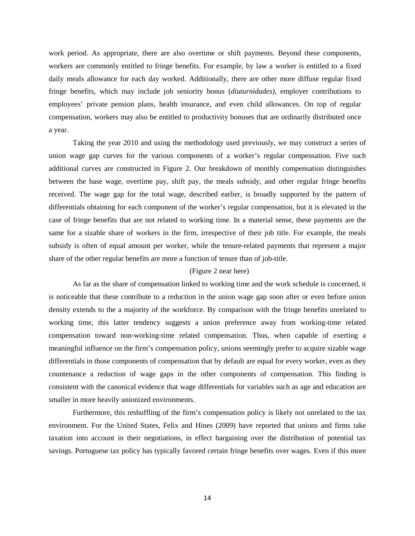work period. As appropriate, there are also overtime or shift payments. Beyond these components, workers are commonly entitled to fringe benefits. For example, by law a worker is entitled to a fixed daily meals allowance for each day worked. Additionally, there are other more diffuse regular fixed fringe benefits, which may include job seniority bonus (*diuturnidades)*, employer contributions to employees' private pension plans, health insurance, and even child allowances. On top of regular compensation, workers may also be entitled to productivity bonuses that are ordinarily distributed once a year.

Taking the year 2010 and using the methodology used previously, we may construct a series of union wage gap curves for the various components of a worker's regular compensation. Five such additional curves are constructed in Figure 2. Our breakdown of monthly compensation distinguishes between the base wage, overtime pay, shift pay, the meals subsidy, and other regular fringe benefits received. The wage gap for the total wage, described earlier, is broadly supported by the pattern of differentials obtaining for each component of the worker's regular compensation, but it is elevated in the case of fringe benefits that are not related to working time. In a material sense, these payments are the same for a sizable share of workers in the firm, irrespective of their job title. For example, the meals subsidy is often of equal amount per worker, while the tenure-related payments that represent a major share of the other regular benefits are more a function of tenure than of job-title.

#### (Figure 2 near here)

As far as the share of compensation linked to working time and the work schedule is concerned, it is noticeable that these contribute to a reduction in the union wage gap soon after or even before union density extends to the a majority of the workforce. By comparison with the fringe benefits unrelated to working time, this latter tendency suggests a union preference away from working-time related compensation toward non-working-time related compensation. Thus, when capable of exerting a meaningful influence on the firm's compensation policy, unions seemingly prefer to acquire sizable wage differentials in those components of compensation that by default are equal for every worker, even as they countenance a reduction of wage gaps in the other components of compensation. This finding is consistent with the canonical evidence that wage differentials for variables such as age and education are smaller in more heavily unionized environments.

Furthermore, this reshuffling of the firm's compensation policy is likely not unrelated to the tax environment. For the United States, Felix and Hines (2009) have reported that unions and firms take taxation into account in their negotiations, in effect bargaining over the distribution of potential tax savings. Portuguese tax policy has typically favored certain fringe benefits over wages. Even if this more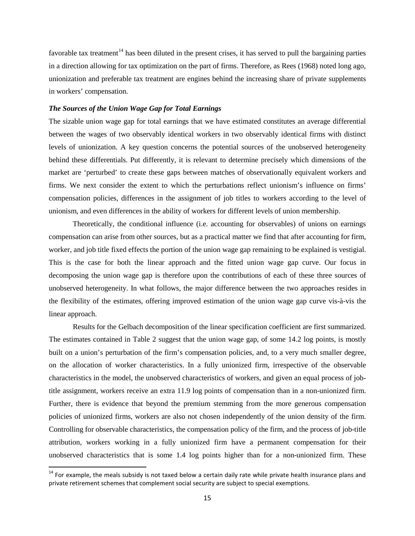favorable tax treatment<sup>[14](#page-12-0)</sup> has been diluted in the present crises, it has served to pull the bargaining parties in a direction allowing for tax optimization on the part of firms. Therefore, as Rees (1968) noted long ago, unionization and preferable tax treatment are engines behind the increasing share of private supplements in workers' compensation.

#### *The Sources of the Union Wage Gap for Total Earnings*

The sizable union wage gap for total earnings that we have estimated constitutes an average differential between the wages of two observably identical workers in two observably identical firms with distinct levels of unionization. A key question concerns the potential sources of the unobserved heterogeneity behind these differentials. Put differently, it is relevant to determine precisely which dimensions of the market are 'perturbed' to create these gaps between matches of observationally equivalent workers and firms. We next consider the extent to which the perturbations reflect unionism's influence on firms' compensation policies, differences in the assignment of job titles to workers according to the level of unionism, and even differences in the ability of workers for different levels of union membership.

Theoretically, the conditional influence (i.e. accounting for observables) of unions on earnings compensation can arise from other sources, but as a practical matter we find that after accounting for firm, worker, and job title fixed effects the portion of the union wage gap remaining to be explained is vestigial. This is the case for both the linear approach and the fitted union wage gap curve. Our focus in decomposing the union wage gap is therefore upon the contributions of each of these three sources of unobserved heterogeneity. In what follows, the major difference between the two approaches resides in the flexibility of the estimates, offering improved estimation of the union wage gap curve vis-à-vis the linear approach.

Results for the Gelbach decomposition of the linear specification coefficient are first summarized. The estimates contained in Table 2 suggest that the union wage gap, of some 14.2 log points, is mostly built on a union's perturbation of the firm's compensation policies, and, to a very much smaller degree, on the allocation of worker characteristics. In a fully unionized firm, irrespective of the observable characteristics in the model, the unobserved characteristics of workers, and given an equal process of jobtitle assignment, workers receive an extra 11.9 log points of compensation than in a non-unionized firm. Further, there is evidence that beyond the premium stemming from the more generous compensation policies of unionized firms, workers are also not chosen independently of the union density of the firm. Controlling for observable characteristics, the compensation policy of the firm, and the process of job-title attribution, workers working in a fully unionized firm have a permanent compensation for their unobserved characteristics that is some 1.4 log points higher than for a non-unionized firm. These

<span id="page-15-0"></span> $14$  For example, the meals subsidy is not taxed below a certain daily rate while private health insurance plans and private retirement schemes that complement social security are subject to special exemptions.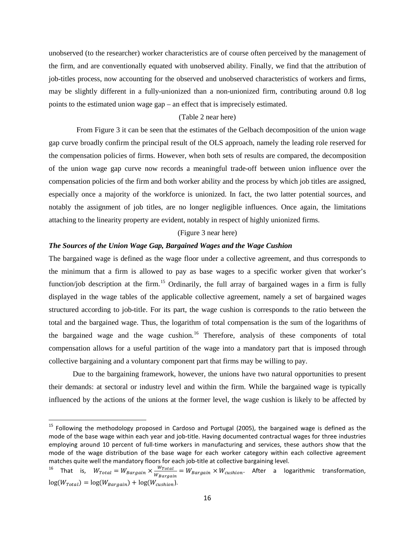unobserved (to the researcher) worker characteristics are of course often perceived by the management of the firm, and are conventionally equated with unobserved ability. Finally, we find that the attribution of job-titles process, now accounting for the observed and unobserved characteristics of workers and firms, may be slightly different in a fully-unionized than a non-unionized firm, contributing around 0.8 log points to the estimated union wage gap – an effect that is imprecisely estimated.

#### (Table 2 near here)

 From Figure 3 it can be seen that the estimates of the Gelbach decomposition of the union wage gap curve broadly confirm the principal result of the OLS approach, namely the leading role reserved for the compensation policies of firms. However, when both sets of results are compared, the decomposition of the union wage gap curve now records a meaningful trade-off between union influence over the compensation policies of the firm and both worker ability and the process by which job titles are assigned, especially once a majority of the workforce is unionized. In fact, the two latter potential sources, and notably the assignment of job titles, are no longer negligible influences. Once again, the limitations attaching to the linearity property are evident, notably in respect of highly unionized firms.

### (Figure 3 near here)

# *The Sources of the Union Wage Gap, Bargained Wages and the Wage Cushion*

The bargained wage is defined as the wage floor under a collective agreement, and thus corresponds to the minimum that a firm is allowed to pay as base wages to a specific worker given that worker's function/job description at the firm.<sup>[15](#page-15-0)</sup> Ordinarily, the full array of bargained wages in a firm is fully displayed in the wage tables of the applicable collective agreement, namely a set of bargained wages structured according to job-title. For its part, the wage cushion is corresponds to the ratio between the total and the bargained wage. Thus, the logarithm of total compensation is the sum of the logarithms of the bargained wage and the wage cushion.<sup>[16](#page-16-0)</sup> Therefore, analysis of these components of total compensation allows for a useful partition of the wage into a mandatory part that is imposed through collective bargaining and a voluntary component part that firms may be willing to pay.

Due to the bargaining framework, however, the unions have two natural opportunities to present their demands: at sectoral or industry level and within the firm. While the bargained wage is typically influenced by the actions of the unions at the former level, the wage cushion is likely to be affected by

<span id="page-16-1"></span><sup>&</sup>lt;sup>15</sup> Following the methodology proposed in Cardoso and Portugal (2005), the bargained wage is defined as the mode of the base wage within each year and job-title. Having documented contractual wages for three industries employing around 10 percent of full-time workers in manufacturing and services, these authors show that the mode of the wage distribution of the base wage for each worker category within each collective agreement matches quite well the mandatory floors for each job-title at collective bargaining level.

<span id="page-16-0"></span><sup>&</sup>lt;sup>16</sup> That is,  $W_{Total} = W_{Bargain} \times \frac{W_{Total}}{W_{Bargain}}$  $\frac{w_{Total}}{w_{Bargain}} = W_{Bargain} \times W_{custion}$ . After a logarithmic transformation,  $log(W_{Total}) = log(W_{Bargain}) + log(W_{custion}).$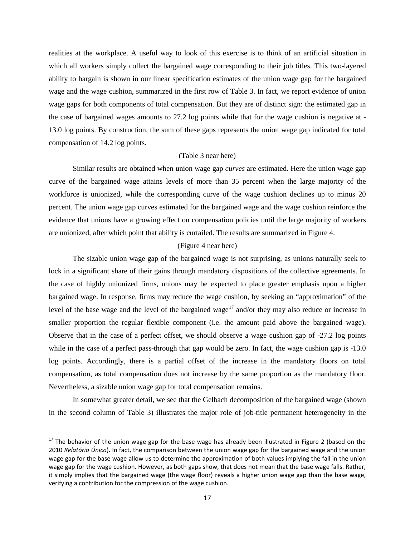realities at the workplace. A useful way to look of this exercise is to think of an artificial situation in which all workers simply collect the bargained wage corresponding to their job titles. This two-layered ability to bargain is shown in our linear specification estimates of the union wage gap for the bargained wage and the wage cushion, summarized in the first row of Table 3. In fact, we report evidence of union wage gaps for both components of total compensation. But they are of distinct sign: the estimated gap in the case of bargained wages amounts to 27.2 log points while that for the wage cushion is negative at - 13.0 log points. By construction, the sum of these gaps represents the union wage gap indicated for total compensation of 14.2 log points.

# (Table 3 near here)

Similar results are obtained when union wage gap *curves* are estimated. Here the union wage gap curve of the bargained wage attains levels of more than 35 percent when the large majority of the workforce is unionized, while the corresponding curve of the wage cushion declines up to minus 20 percent. The union wage gap curves estimated for the bargained wage and the wage cushion reinforce the evidence that unions have a growing effect on compensation policies until the large majority of workers are unionized, after which point that ability is curtailed. The results are summarized in Figure 4.

#### (Figure 4 near here)

The sizable union wage gap of the bargained wage is not surprising, as unions naturally seek to lock in a significant share of their gains through mandatory dispositions of the collective agreements. In the case of highly unionized firms, unions may be expected to place greater emphasis upon a higher bargained wage. In response, firms may reduce the wage cushion, by seeking an "approximation" of the level of the base wage and the level of the bargained wage<sup>[17](#page-16-1)</sup> and/or they may also reduce or increase in smaller proportion the regular flexible component (i.e. the amount paid above the bargained wage). Observe that in the case of a perfect offset, we should observe a wage cushion gap of -27.2 log points while in the case of a perfect pass-through that gap would be zero. In fact, the wage cushion gap is  $-13.0$ log points. Accordingly, there is a partial offset of the increase in the mandatory floors on total compensation, as total compensation does not increase by the same proportion as the mandatory floor. Nevertheless, a sizable union wage gap for total compensation remains.

In somewhat greater detail, we see that the Gelbach decomposition of the bargained wage (shown in the second column of Table 3) illustrates the major role of job-title permanent heterogeneity in the

<span id="page-17-0"></span><sup>&</sup>lt;sup>17</sup> The behavior of the union wage gap for the base wage has already been illustrated in Figure 2 (based on the 2010 *Relatório Único*). In fact, the comparison between the union wage gap for the bargained wage and the union wage gap for the base wage allow us to determine the approximation of both values implying the fall in the union wage gap for the wage cushion. However, as both gaps show, that does not mean that the base wage falls. Rather, it simply implies that the bargained wage (the wage floor) reveals a higher union wage gap than the base wage, verifying a contribution for the compression of the wage cushion.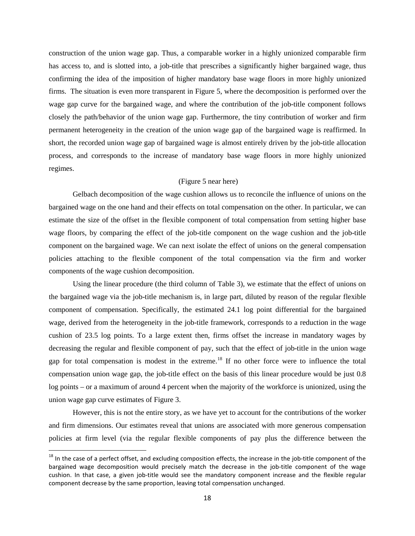construction of the union wage gap. Thus, a comparable worker in a highly unionized comparable firm has access to, and is slotted into, a job-title that prescribes a significantly higher bargained wage, thus confirming the idea of the imposition of higher mandatory base wage floors in more highly unionized firms. The situation is even more transparent in Figure 5, where the decomposition is performed over the wage gap curve for the bargained wage, and where the contribution of the job-title component follows closely the path/behavior of the union wage gap. Furthermore, the tiny contribution of worker and firm permanent heterogeneity in the creation of the union wage gap of the bargained wage is reaffirmed. In short, the recorded union wage gap of bargained wage is almost entirely driven by the job-title allocation process, and corresponds to the increase of mandatory base wage floors in more highly unionized regimes.

### (Figure 5 near here)

Gelbach decomposition of the wage cushion allows us to reconcile the influence of unions on the bargained wage on the one hand and their effects on total compensation on the other. In particular, we can estimate the size of the offset in the flexible component of total compensation from setting higher base wage floors, by comparing the effect of the job-title component on the wage cushion and the job-title component on the bargained wage. We can next isolate the effect of unions on the general compensation policies attaching to the flexible component of the total compensation via the firm and worker components of the wage cushion decomposition.

Using the linear procedure (the third column of Table 3), we estimate that the effect of unions on the bargained wage via the job-title mechanism is, in large part, diluted by reason of the regular flexible component of compensation. Specifically, the estimated 24.1 log point differential for the bargained wage, derived from the heterogeneity in the job-title framework, corresponds to a reduction in the wage cushion of 23.5 log points. To a large extent then, firms offset the increase in mandatory wages by decreasing the regular and flexible component of pay, such that the effect of job-title in the union wage gap for total compensation is modest in the extreme.<sup>[18](#page-17-0)</sup> If no other force were to influence the total compensation union wage gap, the job-title effect on the basis of this linear procedure would be just 0.8 log points – or a maximum of around 4 percent when the majority of the workforce is unionized, using the union wage gap curve estimates of Figure 3.

However, this is not the entire story, as we have yet to account for the contributions of the worker and firm dimensions. Our estimates reveal that unions are associated with more generous compensation policies at firm level (via the regular flexible components of pay plus the difference between the

<span id="page-18-0"></span> $18$  In the case of a perfect offset, and excluding composition effects, the increase in the job-title component of the bargained wage decomposition would precisely match the decrease in the job-title component of the wage cushion. In that case, a given job-title would see the mandatory component increase and the flexible regular component decrease by the same proportion, leaving total compensation unchanged.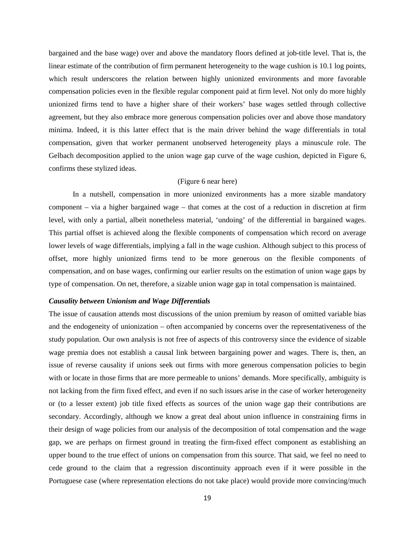bargained and the base wage) over and above the mandatory floors defined at job-title level. That is, the linear estimate of the contribution of firm permanent heterogeneity to the wage cushion is 10.1 log points, which result underscores the relation between highly unionized environments and more favorable compensation policies even in the flexible regular component paid at firm level. Not only do more highly unionized firms tend to have a higher share of their workers' base wages settled through collective agreement, but they also embrace more generous compensation policies over and above those mandatory minima. Indeed, it is this latter effect that is the main driver behind the wage differentials in total compensation, given that worker permanent unobserved heterogeneity plays a minuscule role. The Gelbach decomposition applied to the union wage gap curve of the wage cushion, depicted in Figure 6, confirms these stylized ideas.

# (Figure 6 near here)

In a nutshell, compensation in more unionized environments has a more sizable mandatory component – via a higher bargained wage – that comes at the cost of a reduction in discretion at firm level, with only a partial, albeit nonetheless material, 'undoing' of the differential in bargained wages. This partial offset is achieved along the flexible components of compensation which record on average lower levels of wage differentials, implying a fall in the wage cushion. Although subject to this process of offset, more highly unionized firms tend to be more generous on the flexible components of compensation, and on base wages, confirming our earlier results on the estimation of union wage gaps by type of compensation. On net, therefore, a sizable union wage gap in total compensation is maintained.

### *Causality between Unionism and Wage Differentials*

The issue of causation attends most discussions of the union premium by reason of omitted variable bias and the endogeneity of unionization – often accompanied by concerns over the representativeness of the study population. Our own analysis is not free of aspects of this controversy since the evidence of sizable wage premia does not establish a causal link between bargaining power and wages. There is, then, an issue of reverse causality if unions seek out firms with more generous compensation policies to begin with or locate in those firms that are more permeable to unions' demands. More specifically, ambiguity is not lacking from the firm fixed effect, and even if no such issues arise in the case of worker heterogeneity or (to a lesser extent) job title fixed effects as sources of the union wage gap their contributions are secondary. Accordingly, although we know a great deal about union influence in constraining firms in their design of wage policies from our analysis of the decomposition of total compensation and the wage gap, we are perhaps on firmest ground in treating the firm-fixed effect component as establishing an upper bound to the true effect of unions on compensation from this source. That said, we feel no need to cede ground to the claim that a regression discontinuity approach even if it were possible in the Portuguese case (where representation elections do not take place) would provide more convincing/much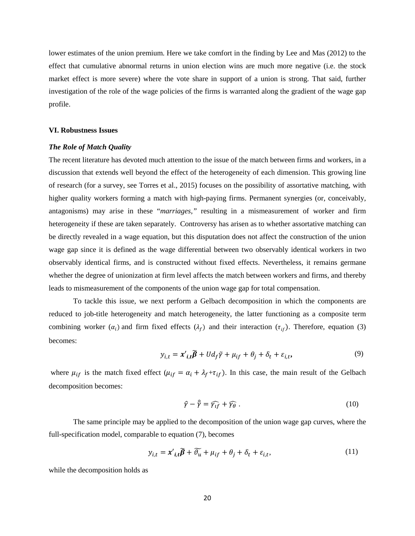lower estimates of the union premium. Here we take comfort in the finding by Lee and Mas (2012) to the effect that cumulative abnormal returns in union election wins are much more negative (i.e. the stock market effect is more severe) where the vote share in support of a union is strong. That said, further investigation of the role of the wage policies of the firms is warranted along the gradient of the wage gap profile.

#### **VI. Robustness Issues**

# *The Role of Match Quality*

The recent literature has devoted much attention to the issue of the match between firms and workers, in a discussion that extends well beyond the effect of the heterogeneity of each dimension. This growing line of research (for a survey, see Torres et al., 2015) focuses on the possibility of assortative matching, with higher quality workers forming a match with high-paying firms. Permanent synergies (or, conceivably, antagonisms) may arise in these "*marriages,"* resulting in a mismeasurement of worker and firm heterogeneity if these are taken separately. Controversy has arisen as to whether assortative matching can be directly revealed in a wage equation, but this disputation does not affect the construction of the union wage gap since it is defined as the wage differential between two observably identical workers in two observably identical firms, and is constructed without fixed effects. Nevertheless, it remains germane whether the degree of unionization at firm level affects the match between workers and firms, and thereby leads to mismeasurement of the components of the union wage gap for total compensation.

To tackle this issue, we next perform a Gelbach decomposition in which the components are reduced to job-title heterogeneity and match heterogeneity, the latter functioning as a composite term combining worker  $(\alpha_i)$  and firm fixed effects  $(\lambda_f)$  and their interaction  $(\tau_{if})$ . Therefore, equation (3) becomes:

$$
y_{i,t} = x'_{i,t}\widetilde{\beta} + Ud_f\widetilde{\gamma} + \mu_{if} + \theta_j + \delta_t + \varepsilon_{i,t},\tag{9}
$$

where  $\mu_{if}$  is the match fixed effect  $(\mu_{if} = \alpha_i + \lambda_f + \tau_{if})$ . In this case, the main result of the Gelbach decomposition becomes:

$$
\hat{\gamma} - \hat{\tilde{\gamma}} = \hat{\gamma_{if}} + \hat{\gamma_{\theta}} \,. \tag{10}
$$

The same principle may be applied to the decomposition of the union wage gap curves, where the full-specification model, comparable to equation (7), becomes

$$
y_{i,t} = \mathbf{x}'_{i,t} \widetilde{\boldsymbol{\beta}} + \widetilde{\vartheta_u} + \mu_{if} + \theta_j + \delta_t + \varepsilon_{i,t},\tag{11}
$$

while the decomposition holds as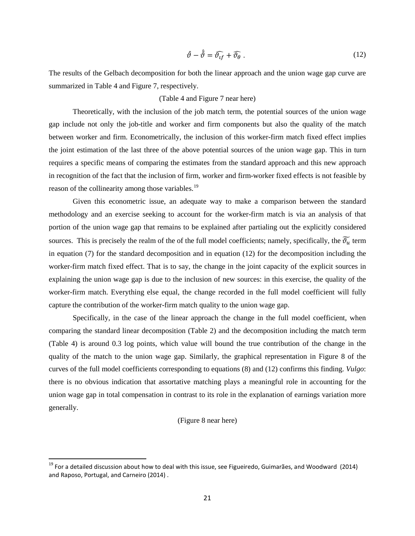$$
\hat{\vartheta} - \hat{\vartheta} = \widehat{\vartheta_{if}} + \widehat{\vartheta_{\theta}} \,. \tag{12}
$$

The results of the Gelbach decomposition for both the linear approach and the union wage gap curve are summarized in Table 4 and Figure 7, respectively.

### (Table 4 and Figure 7 near here)

Theoretically, with the inclusion of the job match term, the potential sources of the union wage gap include not only the job-title and worker and firm components but also the quality of the match between worker and firm. Econometrically, the inclusion of this worker-firm match fixed effect implies the joint estimation of the last three of the above potential sources of the union wage gap. This in turn requires a specific means of comparing the estimates from the standard approach and this new approach in recognition of the fact that the inclusion of firm, worker and firm-worker fixed effects is not feasible by reason of the collinearity among those variables.<sup>[19](#page-18-0)</sup>

Given this econometric issue, an adequate way to make a comparison between the standard methodology and an exercise seeking to account for the worker-firm match is via an analysis of that portion of the union wage gap that remains to be explained after partialing out the explicitly considered sources. This is precisely the realm of the of the full model coefficients; namely, specifically, the  $\hat{\theta}_u$  term in equation (7) for the standard decomposition and in equation (12) for the decomposition including the worker-firm match fixed effect. That is to say, the change in the joint capacity of the explicit sources in explaining the union wage gap is due to the inclusion of new sources: in this exercise, the quality of the worker-firm match. Everything else equal, the change recorded in the full model coefficient will fully capture the contribution of the worker-firm match quality to the union wage gap.

Specifically, in the case of the linear approach the change in the full model coefficient, when comparing the standard linear decomposition (Table 2) and the decomposition including the match term (Table 4) is around 0.3 log points, which value will bound the true contribution of the change in the quality of the match to the union wage gap. Similarly, the graphical representation in Figure 8 of the curves of the full model coefficients corresponding to equations (8) and (12) confirms this finding. *Vulgo*: there is no obvious indication that assortative matching plays a meaningful role in accounting for the union wage gap in total compensation in contrast to its role in the explanation of earnings variation more generally.

# (Figure 8 near here)

<span id="page-21-0"></span> $19$  For a detailed discussion about how to deal with this issue, see Figueiredo, Guimarães, and Woodward (2014) and Raposo, Portugal, and Carneiro (2014) .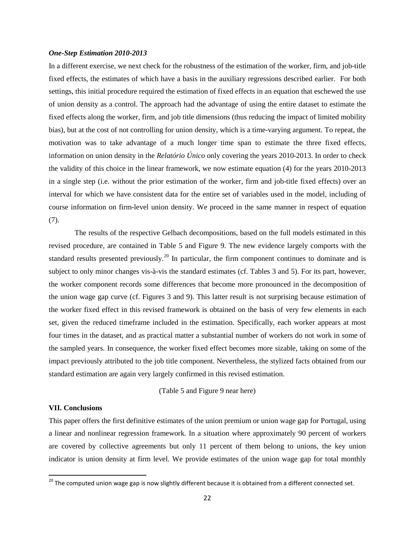#### *One-Step Estimation 2010-2013*

In a different exercise, we next check for the robustness of the estimation of the worker, firm, and job-title fixed effects, the estimates of which have a basis in the auxiliary regressions described earlier. For both settings, this initial procedure required the estimation of fixed effects in an equation that eschewed the use of union density as a control. The approach had the advantage of using the entire dataset to estimate the fixed effects along the worker, firm, and job title dimensions (thus reducing the impact of limited mobility bias), but at the cost of not controlling for union density, which is a time-varying argument. To repeat, the motivation was to take advantage of a much longer time span to estimate the three fixed effects, information on union density in the *Relatório Único* only covering the years 2010-2013. In order to check the validity of this choice in the linear framework, we now estimate equation (4) for the years 2010-2013 in a single step (i.e. without the prior estimation of the worker, firm and job-title fixed effects) over an interval for which we have consistent data for the entire set of variables used in the model, including of course information on firm-level union density. We proceed in the same manner in respect of equation (7).

The results of the respective Gelbach decompositions, based on the full models estimated in this revised procedure, are contained in Table 5 and Figure 9. The new evidence largely comports with the standard results presented previously.<sup>[20](#page-21-0)</sup> In particular, the firm component continues to dominate and is subject to only minor changes vis-à-vis the standard estimates (cf. Tables 3 and 5). For its part, however, the worker component records some differences that become more pronounced in the decomposition of the union wage gap curve (cf. Figures 3 and 9). This latter result is not surprising because estimation of the worker fixed effect in this revised framework is obtained on the basis of very few elements in each set, given the reduced timeframe included in the estimation. Specifically, each worker appears at most four times in the dataset, and as practical matter a substantial number of workers do not work in some of the sampled years. In consequence, the worker fixed effect becomes more sizable, taking on some of the impact previously attributed to the job title component. Nevertheless, the stylized facts obtained from our standard estimation are again very largely confirmed in this revised estimation.

# (Table 5 and Figure 9 near here)

#### **VII. Conclusions**

This paper offers the first definitive estimates of the union premium or union wage gap for Portugal, using a linear and nonlinear regression framework. In a situation where approximately 90 percent of workers are covered by collective agreements but only 11 percent of them belong to unions, the key union indicator is union density at firm level. We provide estimates of the union wage gap for total monthly

<sup>&</sup>lt;sup>20</sup> The computed union wage gap is now slightly different because it is obtained from a different connected set.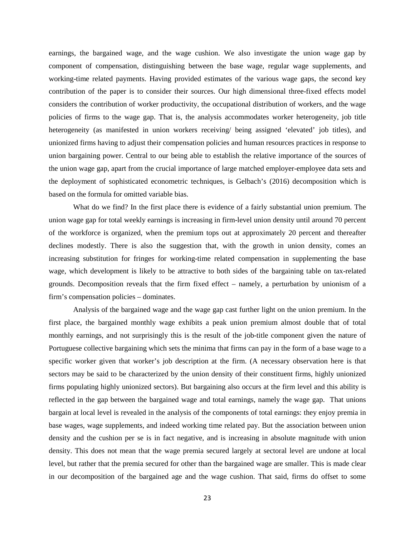earnings, the bargained wage, and the wage cushion. We also investigate the union wage gap by component of compensation, distinguishing between the base wage, regular wage supplements, and working-time related payments. Having provided estimates of the various wage gaps, the second key contribution of the paper is to consider their sources. Our high dimensional three-fixed effects model considers the contribution of worker productivity, the occupational distribution of workers, and the wage policies of firms to the wage gap. That is, the analysis accommodates worker heterogeneity, job title heterogeneity (as manifested in union workers receiving/ being assigned 'elevated' job titles), and unionized firms having to adjust their compensation policies and human resources practices in response to union bargaining power. Central to our being able to establish the relative importance of the sources of the union wage gap, apart from the crucial importance of large matched employer-employee data sets and the deployment of sophisticated econometric techniques, is Gelbach's (2016) decomposition which is based on the formula for omitted variable bias.

What do we find? In the first place there is evidence of a fairly substantial union premium. The union wage gap for total weekly earnings is increasing in firm-level union density until around 70 percent of the workforce is organized, when the premium tops out at approximately 20 percent and thereafter declines modestly. There is also the suggestion that, with the growth in union density, comes an increasing substitution for fringes for working-time related compensation in supplementing the base wage, which development is likely to be attractive to both sides of the bargaining table on tax-related grounds. Decomposition reveals that the firm fixed effect – namely, a perturbation by unionism of a firm's compensation policies – dominates.

Analysis of the bargained wage and the wage gap cast further light on the union premium. In the first place, the bargained monthly wage exhibits a peak union premium almost double that of total monthly earnings, and not surprisingly this is the result of the job-title component given the nature of Portuguese collective bargaining which sets the minima that firms can pay in the form of a base wage to a specific worker given that worker's job description at the firm. (A necessary observation here is that sectors may be said to be characterized by the union density of their constituent firms, highly unionized firms populating highly unionized sectors). But bargaining also occurs at the firm level and this ability is reflected in the gap between the bargained wage and total earnings, namely the wage gap. That unions bargain at local level is revealed in the analysis of the components of total earnings: they enjoy premia in base wages, wage supplements, and indeed working time related pay. But the association between union density and the cushion per se is in fact negative, and is increasing in absolute magnitude with union density. This does not mean that the wage premia secured largely at sectoral level are undone at local level, but rather that the premia secured for other than the bargained wage are smaller. This is made clear in our decomposition of the bargained age and the wage cushion. That said, firms do offset to some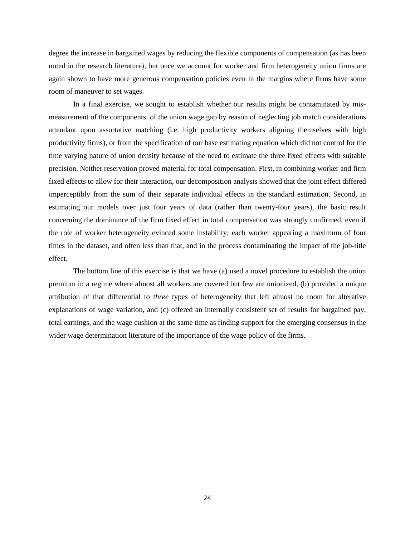degree the increase in bargained wages by reducing the flexible components of compensation (as has been noted in the research literature), but once we account for worker and firm heterogeneity union firms are again shown to have more generous compensation policies even in the margins where firms have some room of maneuver to set wages.

In a final exercise, we sought to establish whether our results might be contaminated by mismeasurement of the components of the union wage gap by reason of neglecting job match considerations attendant upon assortative matching (i.e. high productivity workers aligning themselves with high productivity firms), or from the specification of our base estimating equation which did not control for the time varying nature of union density because of the need to estimate the three fixed effects with suitable precision. Neither reservation proved material for total compensation. First, in combining worker and firm fixed effects to allow for their interaction, our decomposition analysis showed that the joint effect differed imperceptibly from the sum of their separate individual effects in the standard estimation. Second, in estimating our models over just four years of data (rather than twenty-four years), the basic result concerning the dominance of the firm fixed effect in total compensation was strongly confirmed, even if the role of worker heterogeneity evinced some instability; each worker appearing a maximum of four times in the dataset, and often less than that, and in the process contaminating the impact of the job-title effect.

The bottom line of this exercise is that we have (a) used a novel procedure to establish the union premium in a regime where almost all workers are covered but few are unionized, (b) provided a unique attribution of that differential to *three* types of heterogeneity that left almost no room for alterative explanations of wage variation, and (c) offered an internally consistent set of results for bargained pay, total earnings, and the wage cushion at the same time as finding support for the emerging consensus in the wider wage determination literature of the importance of the wage policy of the firms.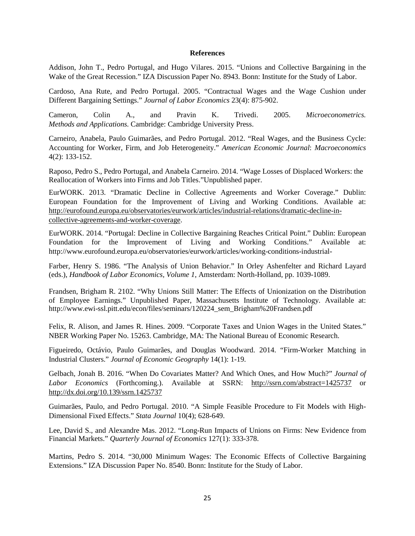#### **References**

Addison, John T., Pedro Portugal, and Hugo Vilares. 2015. "Unions and Collective Bargaining in the Wake of the Great Recession." IZA Discussion Paper No. 8943. Bonn: Institute for the Study of Labor.

Cardoso, Ana Rute, and Pedro Portugal. 2005. "Contractual Wages and the Wage Cushion under Different Bargaining Settings." *Journal of Labor Economics* 23(4): 875-902.

Cameron, Colin A., and Pravin K. Trivedi. 2005. *Microeconometrics. Methods and Applications.* Cambridge: Cambridge University Press.

Carneiro, Anabela, Paulo Guimarães, and Pedro Portugal. 2012. "Real Wages, and the Business Cycle: Accounting for Worker, Firm, and Job Heterogeneity." *American Economic Journal*: *Macroeconomics* 4(2): 133-152.

Raposo, Pedro S., Pedro Portugal, and Anabela Carneiro. 2014. "Wage Losses of Displaced Workers: the Reallocation of Workers into Firms and Job Titles."Unpublished paper.

EurWORK. 2013. "Dramatic Decline in Collective Agreements and Worker Coverage." Dublin: European Foundation for the Improvement of Living and Working Conditions. Available at: [http://eurofound.europa.eu/observatories/eurwork/articles/industrial-relations/dramatic-decline-in](http://eurofound.europa.eu/observatories/eurwork/articles/industrial-relations/dramatic-decline-in-collective-agreements-and-worker-coverage)[collective-agreements-and-worker-coverage.](http://eurofound.europa.eu/observatories/eurwork/articles/industrial-relations/dramatic-decline-in-collective-agreements-and-worker-coverage)

EurWORK. 2014. "Portugal: Decline in Collective Bargaining Reaches Critical Point." Dublin: European Foundation for the Improvement of Living and Working Conditions." Available at: http://www.eurofound.europa.eu/observatories/eurwork/articles/working-conditions-industrial-

Farber, Henry S. 1986. "The Analysis of Union Behavior." In Orley Ashenfelter and Richard Layard (eds.), *Handbook of Labor Economics, Volume 1*, Amsterdam: North-Holland, pp. 1039-1089.

Frandsen, Brigham R. 2102. "Why Unions Still Matter: The Effects of Unionization on the Distribution of Employee Earnings." Unpublished Paper, Massachusetts Institute of Technology. Available at: http://www.ewi-ssl.pitt.edu/econ/files/seminars/120224\_sem\_Brigham%20Frandsen.pdf

Felix, R. Alison, and James R. Hines. 2009. "Corporate Taxes and Union Wages in the United States." NBER Working Paper No. 15263. Cambridge, MA: The National Bureau of Economic Research.

Figueiredo, Octávio, Paulo Guimarães, and Douglas Woodward. 2014. "Firm-Worker Matching in Industrial Clusters." *Journal of Economic Geography* 14(1): 1-19.

Gelbach, Jonah B. 2016. "When Do Covariates Matter? And Which Ones, and How Much?" *Journal of Labor Economics* (Forthcoming.). Available at SSRN: <http://ssrn.com/abstract=1425737> or <http://dx.doi.org/10.139/ssrn.1425737>

Guimarães, Paulo, and Pedro Portugal. 2010. "A Simple Feasible Procedure to Fit Models with High-Dimensional Fixed Effects." *Stata Journal* 10(4); 628-649.

Lee, David S., and Alexandre Mas. 2012. "Long-Run Impacts of Unions on Firms: New Evidence from Financial Markets." *Quarterly Journal of Economics* 127(1): 333-378.

Martins, Pedro S. 2014. "30,000 Minimum Wages: The Economic Effects of Collective Bargaining Extensions." IZA Discussion Paper No. 8540. Bonn: Institute for the Study of Labor.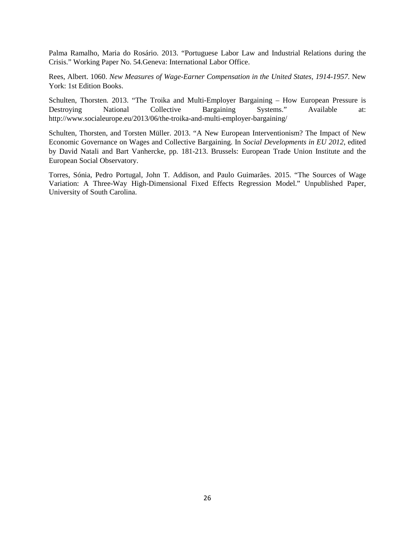Palma Ramalho, Maria do Rosário. 2013. "Portuguese Labor Law and Industrial Relations during the Crisis." Working Paper No. 54.Geneva: International Labor Office.

Rees, Albert. 1060. *New Measures of Wage-Earner Compensation in the United States, 1914-1957*. New York: 1st Edition Books.

Schulten, Thorsten. 2013. "The Troika and Multi-Employer Bargaining – How European Pressure is Destroying National Collective Bargaining Systems." Available at: http://www.socialeurope.eu/2013/06/the-troika-and-multi-employer-bargaining/

Schulten, Thorsten, and Torsten Müller. 2013. "A New European Interventionism? The Impact of New Economic Governance on Wages and Collective Bargaining. In *Social Developments in EU 2012*, edited by David Natali and Bart Vanhercke, pp. 181-213. Brussels: European Trade Union Institute and the European Social Observatory.

Torres, Sónia, Pedro Portugal, John T. Addison, and Paulo Guimarães. 2015. "The Sources of Wage Variation: A Three-Way High-Dimensional Fixed Effects Regression Model." Unpublished Paper, University of South Carolina.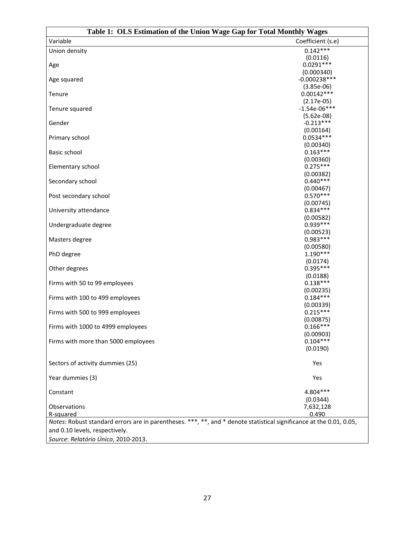| Table 1: OLS Estimation of the Union Wage Gap for Total Monthly Wages                                               |                              |  |
|---------------------------------------------------------------------------------------------------------------------|------------------------------|--|
| Variable                                                                                                            | Coefficient (s.e)            |  |
| Union density                                                                                                       | $0.142***$                   |  |
|                                                                                                                     | (0.0116)                     |  |
| Age                                                                                                                 | $0.0291***$                  |  |
|                                                                                                                     | (0.000340)                   |  |
| Age squared                                                                                                         | $-0.000238***$               |  |
| Tenure                                                                                                              | $(3.85e-06)$<br>$0.00142***$ |  |
|                                                                                                                     | $(2.17e-05)$                 |  |
| Tenure squared                                                                                                      | $-1.54e-06***$               |  |
|                                                                                                                     | $(5.62e-08)$                 |  |
| Gender                                                                                                              | $-0.213***$                  |  |
|                                                                                                                     | (0.00164)                    |  |
| Primary school                                                                                                      | $0.0534***$                  |  |
| Basic school                                                                                                        | (0.00340)<br>$0.163***$      |  |
|                                                                                                                     | (0.00360)                    |  |
| Elementary school                                                                                                   | $0.275***$                   |  |
|                                                                                                                     | (0.00382)                    |  |
| Secondary school                                                                                                    | $0.440***$                   |  |
|                                                                                                                     | (0.00467)                    |  |
| Post secondary school                                                                                               | $0.570***$                   |  |
|                                                                                                                     | (0.00745)                    |  |
| University attendance                                                                                               | $0.834***$<br>(0.00582)      |  |
| Undergraduate degree                                                                                                | $0.939***$                   |  |
|                                                                                                                     | (0.00523)                    |  |
| Masters degree                                                                                                      | $0.983***$                   |  |
|                                                                                                                     | (0.00580)                    |  |
| PhD degree                                                                                                          | $1.190***$                   |  |
|                                                                                                                     | (0.0174)                     |  |
| Other degrees                                                                                                       | $0.395***$                   |  |
| Firms with 50 to 99 employees                                                                                       | (0.0188)<br>$0.138***$       |  |
|                                                                                                                     | (0.00235)                    |  |
| Firms with 100 to 499 employees                                                                                     | $0.184***$                   |  |
|                                                                                                                     | (0.00339)                    |  |
| Firms with 500 to 999 employees                                                                                     | $0.215***$                   |  |
|                                                                                                                     | (0.00875)                    |  |
| Firms with 1000 to 4999 employees                                                                                   | $0.166***$                   |  |
| Firms with more than 5000 employees                                                                                 | (0.00903)<br>$0.104***$      |  |
|                                                                                                                     | (0.0190)                     |  |
|                                                                                                                     |                              |  |
| Sectors of activity dummies (25)                                                                                    | Yes                          |  |
|                                                                                                                     |                              |  |
| Year dummies (3)                                                                                                    | Yes                          |  |
|                                                                                                                     |                              |  |
| Constant                                                                                                            | 4.804***                     |  |
| Observations                                                                                                        | (0.0344)<br>7,632,128        |  |
| R-squared                                                                                                           | 0.490                        |  |
| Notes: Robust standard errors are in parentheses. ***, **, and * denote statistical significance at the 0.01, 0.05, |                              |  |
| and 0.10 levels, respectively.                                                                                      |                              |  |
| Source: Relatório Único, 2010-2013.                                                                                 |                              |  |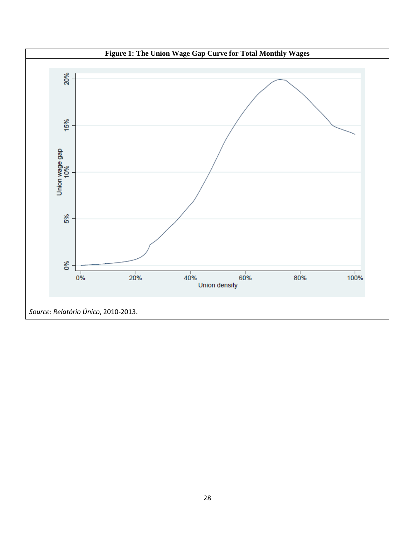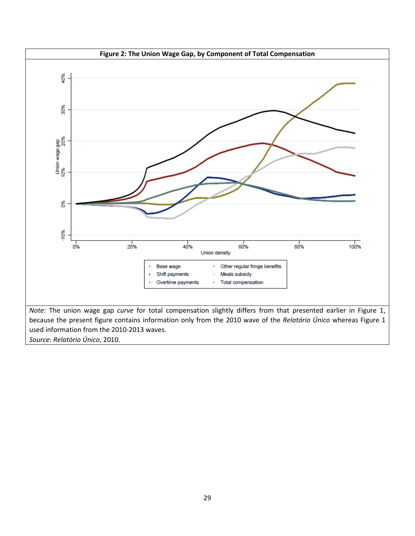

*Source: Relatório Único*, 2010.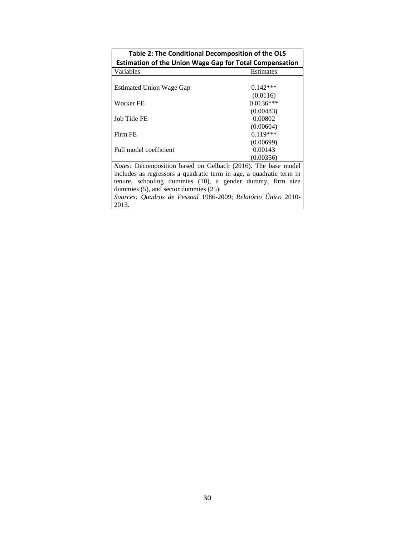| Table 2: The Conditional Decomposition of the OLS                   |             |  |
|---------------------------------------------------------------------|-------------|--|
| <b>Estimation of the Union Wage Gap for Total Compensation</b>      |             |  |
| Variables                                                           | Estimates   |  |
|                                                                     |             |  |
| <b>Estimated Union Wage Gap</b>                                     | $0.142***$  |  |
|                                                                     | (0.0116)    |  |
| Worker FE                                                           | $0.0136***$ |  |
|                                                                     | (0.00483)   |  |
| Job Title FE                                                        | 0.00802     |  |
|                                                                     | (0.00604)   |  |
| Firm FE                                                             | $0.119***$  |  |
|                                                                     | (0.00699)   |  |
| Full model coefficient                                              | 0.00143     |  |
|                                                                     | (0.00356)   |  |
| Notes: Decomposition based on Gelbach (2016). The base model        |             |  |
| includes as regressors a quadratic term in age, a quadratic term in |             |  |
| tenure, schooling dummies (10), a gender dummy, firm size           |             |  |
| dummies $(5)$ , and sector dummies $(25)$ .                         |             |  |
| Sources: Quadros de Pessoal 1986-2009; Relatório Único 2010-        |             |  |
| 2013.                                                               |             |  |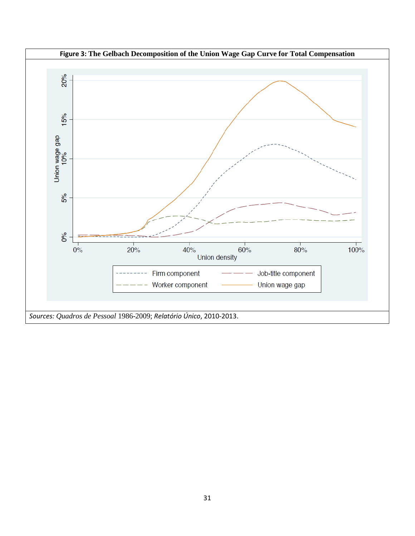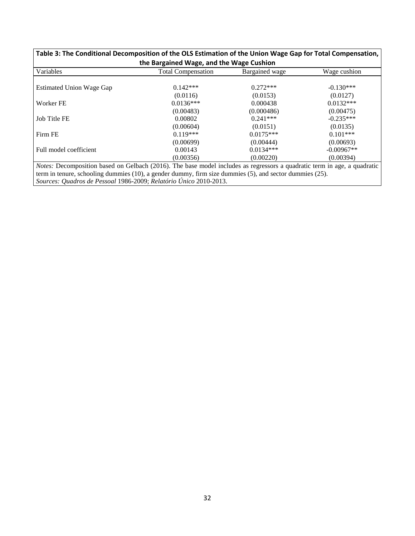| Variables                                                                                                                       | <b>Total Compensation</b> | Bargained wage | Wage cushion |
|---------------------------------------------------------------------------------------------------------------------------------|---------------------------|----------------|--------------|
| <b>Estimated Union Wage Gap</b>                                                                                                 | $0.142***$                | $0.272***$     | $-0.130***$  |
|                                                                                                                                 | (0.0116)                  | (0.0153)       | (0.0127)     |
| Worker FE                                                                                                                       | $0.0136***$               | 0.000438       | $0.0132***$  |
|                                                                                                                                 | (0.00483)                 | (0.000486)     | (0.00475)    |
| Job Title FE                                                                                                                    | 0.00802                   | $0.241***$     | $-0.235***$  |
|                                                                                                                                 | (0.00604)                 | (0.0151)       | (0.0135)     |
| Firm FE                                                                                                                         | $0.119***$                | $0.0175***$    | $0.101***$   |
|                                                                                                                                 | (0.00699)                 | (0.00444)      | (0.00693)    |
| Full model coefficient                                                                                                          | 0.00143                   | $0.0134***$    | $-0.00967**$ |
|                                                                                                                                 | (0.00356)                 | (0.00220)      | (0.00394)    |
| <i>Notes:</i> Decomposition based on Gelbach (2016). The base model includes as regressors a quadratic term in age, a quadratic |                           |                |              |
| term in tenure, schooling dummies (10), a gender dummy, firm size dummies (5), and sector dummies (25).                         |                           |                |              |

| Table 3: The Conditional Decomposition of the OLS Estimation of the Union Wage Gap for Total Compensation, |
|------------------------------------------------------------------------------------------------------------|
| the Bargained Wage, and the Wage Cushion                                                                   |

*Sources: Quadros de Pessoal* 1986-2009; *Relatório Único* 2010-2013.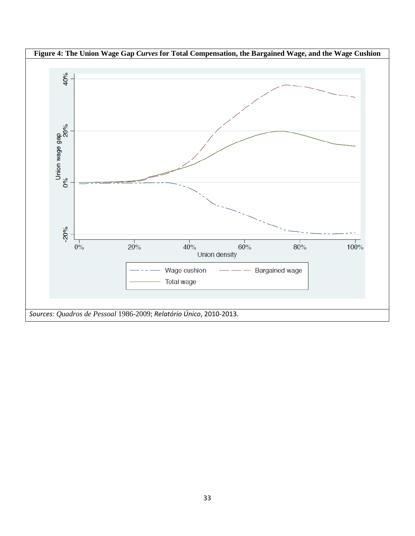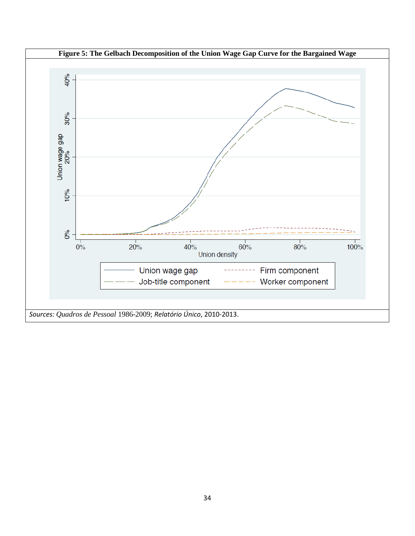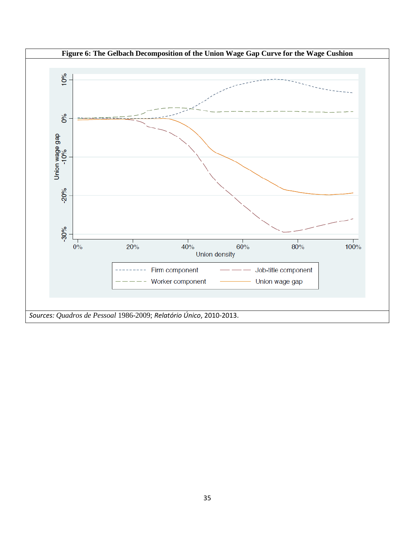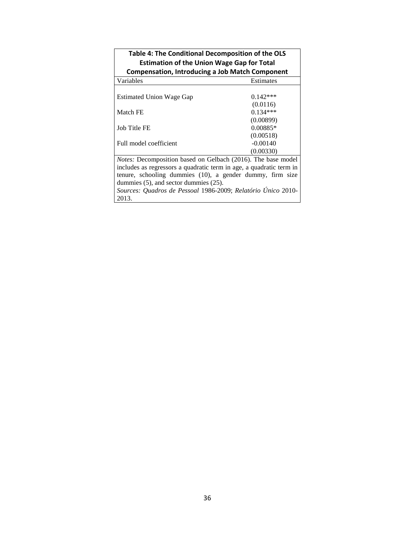| Table 4: The Conditional Decomposition of the OLS                   |            |  |  |
|---------------------------------------------------------------------|------------|--|--|
| <b>Estimation of the Union Wage Gap for Total</b>                   |            |  |  |
| <b>Compensation, Introducing a Job Match Component</b>              |            |  |  |
| Variables                                                           | Estimates  |  |  |
|                                                                     |            |  |  |
| <b>Estimated Union Wage Gap</b>                                     | $0.142***$ |  |  |
|                                                                     | (0.0116)   |  |  |
| <b>Match FE</b>                                                     | $0.134***$ |  |  |
|                                                                     | (0.00899)  |  |  |
| Job Title FE                                                        | $0.00885*$ |  |  |
|                                                                     | (0.00518)  |  |  |
| Full model coefficient                                              | $-0.00140$ |  |  |
|                                                                     | (0.00330)  |  |  |
| <i>Notes:</i> Decomposition based on Gelbach (2016). The base model |            |  |  |
| includes as regressors a quadratic term in age, a quadratic term in |            |  |  |
| tenure, schooling dummies (10), a gender dummy, firm size           |            |  |  |
| dummies $(5)$ , and sector dummies $(25)$ .                         |            |  |  |
| Sources: Quadros de Pessoal 1986-2009; Relatório Único 2010-        |            |  |  |
| 2013.                                                               |            |  |  |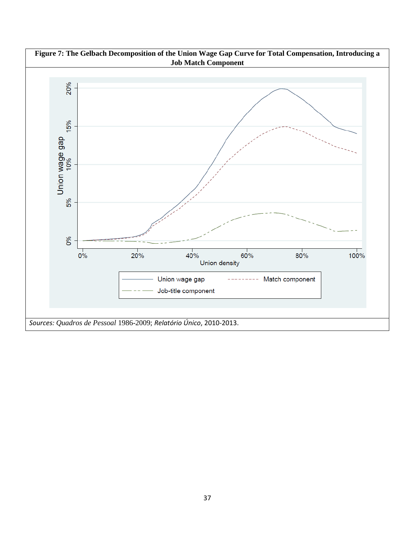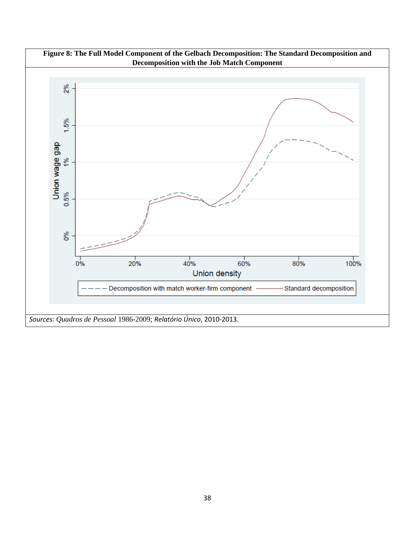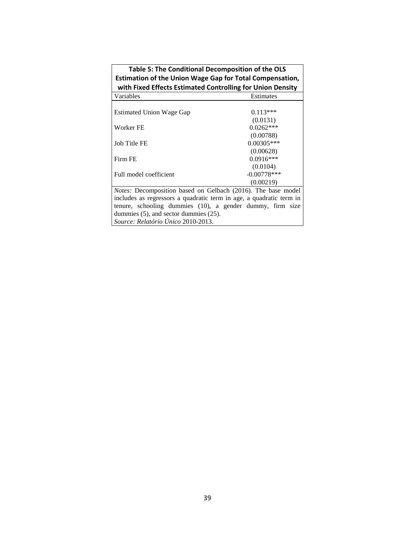| Table 5: The Conditional Decomposition of the OLS                   |               |  |  |
|---------------------------------------------------------------------|---------------|--|--|
| <b>Estimation of the Union Wage Gap for Total Compensation,</b>     |               |  |  |
| with Fixed Effects Estimated Controlling for Union Density          |               |  |  |
| Variables                                                           | Estimates     |  |  |
|                                                                     |               |  |  |
| <b>Estimated Union Wage Gap</b>                                     | $0.113***$    |  |  |
|                                                                     | (0.0131)      |  |  |
| Worker FE                                                           | $0.0262***$   |  |  |
|                                                                     | (0.00788)     |  |  |
| Job Title FE                                                        | $0.00305***$  |  |  |
|                                                                     | (0.00628)     |  |  |
| Firm FE                                                             | $0.0916***$   |  |  |
|                                                                     | (0.0104)      |  |  |
| Full model coefficient                                              | $-0.00778***$ |  |  |
|                                                                     | (0.00219)     |  |  |
| <i>Notes:</i> Decomposition based on Gelbach (2016). The base model |               |  |  |
| includes as regressors a quadratic term in age, a quadratic term in |               |  |  |
| tenure, schooling dummies (10), a gender dummy, firm size           |               |  |  |
| dummies (5), and sector dummies (25).                               |               |  |  |
| Source: Relatório Único 2010-2013.                                  |               |  |  |